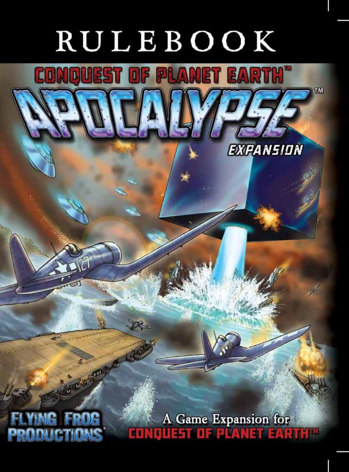# RULEBOOK

UEST OF PLANET EARTH"

TM

**EXPANSION** 



A Game Expansion for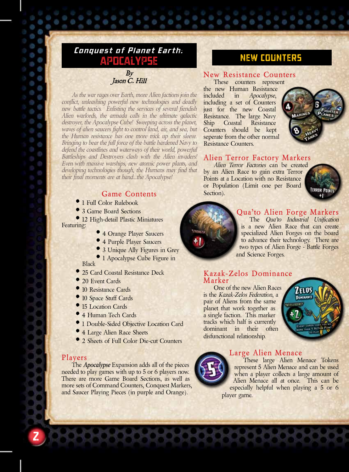## *Conquest of Planet Earth:*  POCALYPSE NEW COUNTERS

By Jason C. Hill

*As the war rages over Earth, more Alien factions join the conflict, unleashing powerful new technologies and deadly new battle tactics. Enlisting the services of several fiendish Alien warlords, the armada calls in the ultimate galactic destroyer, the Apocalypse Cube! Sweeping across the planet, waves of alien saucers fight to control land, air, and sea, but the Human resistance has one more trick up their sleeve. Bringing to bear the full force of the battle hardened Navy to defend the coastlines and waterways of their world, powerful Battleships and Destroyers clash with the Alien invaders! Even with massive warships, new atomic power plants, and developing technologies though, the Humans may find that their final moments are at hand...the Apocalypse!*

### **Game Contents**

- • 1 Full Color Rulebook
- 3 Game Board Sections

• 12 High-detail Plastic Miniatures Featuring:

- <sup>•</sup> 4 Orange Player Saucers
- 4 Purple Player Saucers
- 3 Unique Ally Figures in Grey
- <sup>•</sup> 1 Apocalypse Cube Figure in Black

- 25 Card Coastal Resistance Deck
- 20 Event Cards
- 10 Resistance Cards
- 10 Space Stuff Cards
- 15 Location Cards
- 4 Human Tech Cards
- • 1 Double-Sided Objective Location Card
- 4 Large Alien Race Sheets
- 2 Sheets of Full Color Die-cut Counters

#### **Players**

The *Apocalypse* Expansion adds all of the pieces needed to play games with up to 5 or 6 players now. There are more Game Board Sections, as well as more sets of Command Counters, Conquest Markers, and Saucer Playing Pieces (in purple and Orange).

#### **New Resistance Counters** These counters represent

the new Human Resistance included in *Apocalypse*, including a set of Counters just for the new Coastal Resistance. The large Navy Ship Coastal Resistance Counters should be kept seperate from the other normal Resistance Counters.



#### **Alien Terror Factory Markers**

*Alien Terror Factories* can be created by an Alien Race to gain extra Terror Points at a Location with no Resistance or Population (Limit one per Board Section).



#### **Qua'to Alien Forge Markers** The *Qua'to Industrial Unification*  is a new Alien Race that can create specialized Alien Forges on the board to advance their technology. There are two types of Alien Forge - Battle Forges and Science Forges.

#### **Kazak-Zelos Dominance Marker**

One of the new Alien Races is the *Kazak-Zelos Federation*, a pair of Aliens from the same planet that work together as a single faction. This marker tracks which half is currently dominant in their often disfunctional relationship.





#### **Large Alien Menace**

These large Alien Menace Tokens represent 5 Alien Menace and can be used when a player collects a large amount of Alien Menace all at once. This can be especially helpful when playing a 5 or 6 player game.

2

Ò 9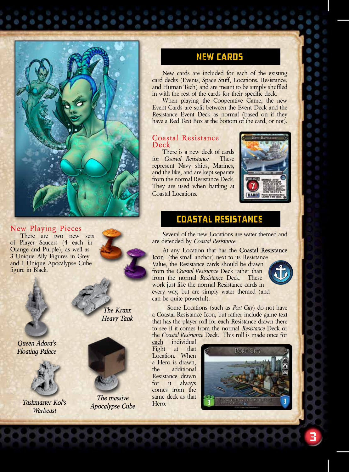

#### **New Playing Pieces**

There are two new sets of Player Saucers (4 each in Orange and Purple), as well as 3 Unique Ally Figures in Grey and 1 Unique Apocalypse Cube figure in Black.



*Queen Adora's Floating Palace*



*Taskmaster Kol's Warbeast*

*The Kruxx Heavy Tank*



*The massive Apocalypse Cube*

# New Cards

New cards are included for each of the existing card decks (Events, Space Stuff, Locations, Resistance, and Human Tech) and are meant to be simply shuffled in with the rest of the cards for their specific deck.

When playing the Cooperative Game, the new Event Cards are split between the Event Deck and the Resistance Event Deck as normal (based on if they have a Red Text Box at the bottom of the card, or not).

#### **Coastal Resistance Deck**

There is a new deck of cards for *Coastal Resistance*. These represent Navy ships, Marines, and the like, and are kept separate from the normal Resistance Deck. They are used when battling at Coastal Locations.



# Coastal Resistance

Several of the new Locations are water themed and are defended by *Coastal Resistance*.

At any Location that has the **Coastal Resistance Icon** (the small anchor) next to its Resistance Value, the Resistance cards should be drawn from the *Coastal Resistance* Deck rather than from the normal *Resistance* Deck. These work just like the normal Resistance cards in every way, but are simply water themed (and can be quite powerful).



3

 Some Locations (such as *Port City*) do not have a Coastal Resistance Icon, but rather include game text that has the player roll for each Resistance drawn there to see if it comes from the normal *Resistance* Deck or the *Coastal Resistance* Deck. This roll is made once for

each individual Fight at that Location. When a Hero is drawn, the additional Resistance drawn for it always comes from the same deck as that Hero.

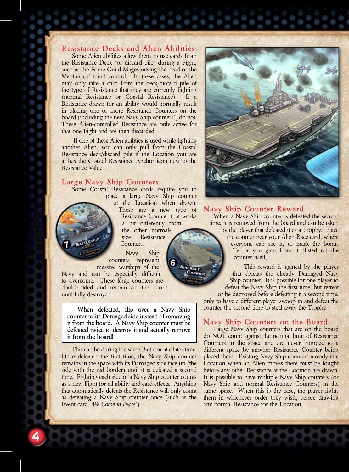## **Resistance Decks and Alien Abilities**

Some Alien abilities allow them to use cards from the Resistance Deck (or discard pile) during a Fight, such as the Fome Guild Mages raising the dead or the Menthalars' mind control. In these cases, the Alien may only take a card from the deck/discard pile of the type of Resistance that they are currently fighting (normal Resistance or Coastal Resistance). If a Resistance drawn for an ability would normally result in placing one or more Resistance Counters on the board (including the new Navy Ship counters), do not. These Alien-controlled Resistance are only active for that one Fight and are then discarded.

 If one of these Alien abilities is used while fighting another Alien, you can only pull from the Coastal Resistance deck/discard pile if the Location you are at has the Coastal Resistance Anchor icon next to the Resistance Value.

#### **Large Navy Ship Counters**

Some Coastal Resistance cards require you to place a large Navy Ship counter

at the Location when drawn. These are a new type of

Resistance Counter that works a bit differently from the other normal-

size Resistance Counters.

Navy Ship counters represent massive warships of the

Navy and can be especially difficult to overcome. These large counters are double-sided and remain on the board until fully destroyed.

**When defeated, flip over a Navy Ship counter to its Damaged side instead of removing it from the board. A Navy Ship counter must be defeated twice to destroy it and actually remove it from the board!**

This can be during the same Battle or at a later time. Once defeated the first time, the Navy Ship counter remains in the space with its Damaged side face up (the side with the red border) until it is defeated a second time. Fighting each side of a Navy Ship counter counts as a new Fight for all ability and card effects. Anything that automatically defeats the Resistance will only count as defeating a Navy Ship counter once (such as the Event card *"We Come in Peace"*).

4

O

Š.



#### **Navy Ship Counter Reward**

When a Navy Ship counter is defeated the second time, it is removed from the board and can be taken by the player that defeated it as a Trophy! Place

the counter near your Alien Race card, where everyone can see it, to mark the bonus Terror you gain from it (listed on the counter itself).

This reward is gained by the player that defeats the already Damaged Navy Ship counter. It is possible for one player to defeat the Navy Ship the first time, but retreat

or be destroyed before defeating it a second time, only to have a different player swoop in and defeat the counter the second time to steal away the Trophy.

#### **Navy Ship Counters on the Board**

Large Navy Ship counters that are on the board do NOT count against the normal limit of Resistance Counters in the space and are never bumped to a different space by another Resistance Counter being placed there. Existing Navy Ship counters already at a Location when an Alien moves there must be fought before any other Resistance at the Location are drawn. It is possible to have multiple Navy Ship counters (or Navy Ship and normal Resistance Counters) in the same space. When this is the case, the player fights them in whichever order they wish, before drawing any normal Resistance for the Location.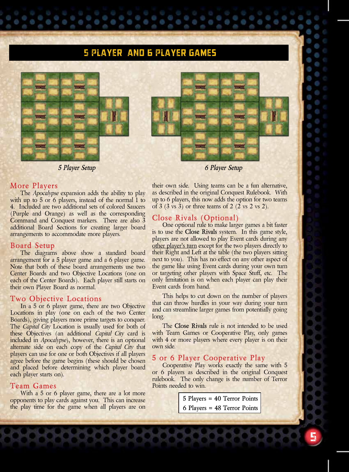# 5 player and 6 Player Games



*5 Player Setup 6 Player Setup*

#### **More Players**

The *Apocalypse* expansion adds the ability to play with up to 5 or 6 players, instead of the normal 1 to 4. Included are two additional sets of colored Saucers (Purple and Orange) as well as the corresponding Command and Conquest markers. There are also 3 additional Board Sections for creating larger board arrangements to accommodate more players.

#### **Board Setup**

The diagrams above show a standard board arrangement for a 5 player game and a 6 player game. Note that both of these board arrangements use two Center Boards and two Objective Locations (one on each of the Center Boards). Each player still starts on their own Player Board as normal.

#### **Two Objective Locations**

In a 5 or 6 player game, there are two Objective Locations in play (one on each of the two Center Boards), giving players more prime targets to conquer. The *Capital City* Location is usually used for both of these Objectives (an additional *Capital City* card is included in *Apocalypse*), however, there is an optional alternate side on each copy of the *Capital City* that players can use for one or both Objectives if all players agree before the game begins (these should be chosen and placed before determining which player board each player starts on).

#### **Team Games**

With a 5 or 6 player game, there are a lot more opponents to play cards against you. This can increase the play time for the game when all players are on their own side. Using teams can be a fun alternative, as described in the original Conquest Rulebook. With up to 6 players, this now adds the option for two teams of 3 (3 vs 3) or three teams of 2 (2 vs 2 vs 2).

#### **Close Rivals (Optional)**

One optional rule to make larger games a bit faster is to use the **Close Rivals** system. In this game style, players are not allowed to play Event cards during any other player's turn except for the two players directly to their Right and Left at the table (the two players sitting next to you). This has no effect on any other aspect of the game like using Event cards during your own turn or targeting other players with Space Stuff, etc. The only limitation is on when each player can play their Event cards from hand.

This helps to cut down on the number of players that can throw hurdles in your way during your turn and can streamline larger games from potentially going long.

The **Close Rivals** rule is not intended to be used with Team Games or Cooperative Play, only games with 4 or more players where every player is on their own side.

#### **5 or 6 Player Cooperative Play**

Cooperative Play works exactly the same with 5 or 6 players as described in the original Conquest rulebook. The only change is the number of Terror Points needed to win.

> **5 Players = 40 Terror Points 6 Players = 48 Terror Points**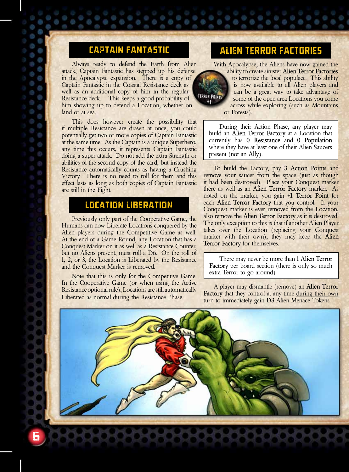Always ready to defend the Earth from Alien attack, Captain Fantastic has stepped up his defense in the Apocalypse expansion. There is a copy of Captain Fantastic in the Coastal Resistance deck as well as an additional copy of him in the regular Resistance deck. This keeps a good probability of him showing up to defend a Location, whether on land or at sea.

This does however create the possibility that if multiple Resistance are drawn at once, you could potentially get two or more copies of Captain Fantastic at the same time. As the Captain is a unique Superhero, any time this occurs, it represents Captain Fantastic doing a super attack. Do not add the extra Strength or abilities of the second copy of the card, but instead the Resistance automatically counts as having a Crushing Victory. There is no need to roll for them and this effect lasts as long as both copies of Captain Fantastic are still in the Fight.

# Location Liberation

Previously only part of the Cooperative Game, the Humans can now Liberate Locations conquered by the Alien players during the Competitive Game as well. At the end of a Game Round, any Location that has a Conquest Marker on it as well as a Resistance Counter, but no Aliens present, must roll a D6. On the roll of 1, 2, or 3, the Location is Liberated by the Resistance and the Conquest Marker is removed.

Note that this is only for the Competitive Game. In the Cooperative Game (or when using the Active Resistance optional rule), Locations are still automatically Liberated as normal during the Resistance Phase.

# Captain Fantastic Alien Terror Factories

With Apocalypse, the Aliens have now gained the



ability to create sinister **Alien Terror Factories**  to terrorize the local populace. This ability is now available to all Alien players and can be a great way to take advantage of some of the open area Locations you come across while exploring (such as Mountains or Forests).

During their Action Phase, any player may build an **Alien Terror Factory** at a Location that currently has **0 Resistance** and **0 Population** where they have at least one of their Alien Saucers present (not an **Ally**).

To build the Factory, pay **3 Action Points** and remove your saucer from the space (just as though it had been destroyed). Place your Conquest marker there as well as an **Alien Terror Factory** marker. As noted on the marker, you gain **+1 Terror Point** for each **Alien Terror Factory** that you control. If your Conquest marker is ever removed from the Location, also remove the **Alien Terror Factory** as it is destroyed. The only exception to this is that if another Alien Player takes over the Location (replacing your Conquest marker with their own), they may keep the **Alien Terror Factory** for themselves.

There may never be more than 1 **Alien Terror Factory** per board section (there is only so much extra Terror to go around).

A player may dismantle (remove) an **Alien Terror**  Factory that they control at any time during their own turn to immediately gain D3 Alien Menace Tokens.



D

9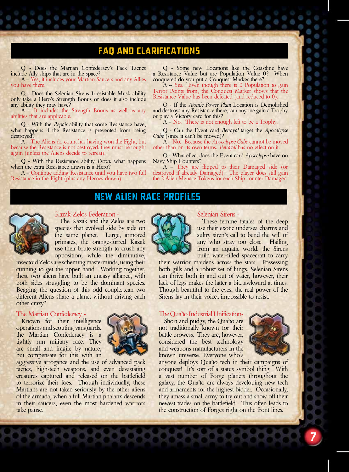# FAQ and Clarifications

Q - Does the Martian Confederacy's Pack Tactics include Ally ships that are in the space? A – Yes, it includes your Martian Saucers and any Allies you have there.

Q - Does the Selenian Sirens Irresistable Musk ability only take a Hero's Strength Bonus or does it also include any ability they may have?

A – It includes the Strength Bonus as well as any abilities that are applicable.

Q - With the *Repair* ability that some Resistance have, what happens if the Resistance is prevented from being destroyed?

A – The Aliens do count has having won the Fight, but because the Resistance is not destroyed, they must be fought again (unless the Aliens decide to retreat).

Q - With the Resistance ability *Escort*, what happens when the extra Resistance drawn is a Hero?

A – Continue adding Resistance until you have two full Resistance in the Fight (plus any Heroes drawn).

Q - Some new Locations like the Coastline have a Resistance Value but are Population Value 0? When

conquered do you put a Conquest Marker there? A – Yes. Even though there is 0 Population to gain Terror Points from, the Conquest Marker shows that the Resistance Value has been defeated (and reduced to 0).

Q - If the *Atomic Power Plant* Location is Demolished and destroys any Resistance there, can anyone gain a Trophy or play a Victory card for this?

 $A - No.$  There is not enough left to be a Trophy.

Q - Can the Event card *Betrayal* target the *Apocalypse Cube* (since it can't be moved)?

A – No. Because the *Apocalypse Cube* cannot be moved other than on its own terms, *Betrayal* has no effect on it.

Q - What effect does the Event card *Apocalypse* have on

A – They are flipped to their Damaged side (or destroyed if already Damaged). The player does still gain the 2 Alien Menace Tokens for each Ship counter Damaged.

# New Alien Race Profiles



#### Kazak-Zelos Federation -

The Kazak and the Zelos are two species that evolved side by side on the same planet. Large, armored primates, the orange-furred Kazak use their brute strength to crush any opposition; while the diminutive,

insectoid Zelos are scheming masterminds, using their cunning to get the upper hand. Working together, these two aliens have built an uneasy alliance, with both sides struggling to be the dominant species. Begging the question of this odd couple...can two different Aliens share a planet without driving each other crazy?

#### The Martian Confederacy -

Known for their intelligence operations and scouting vanguards, the Martian Confederacy is a tightly run military race. They are small and fragile by nature, but compensate for this with an



aggressive arrogance and the use of advanced pack tactics, high-tech weapons, and even devastating creatures captured and released on the battlefield to terrorize their foes. Though individually, these Martians are not taken seriously by the other aliens of the armada, when a full Martian phalanx descends in their saucers, even the most hardened warriors take pause.

## Selenian Sirens -

These femme fatales of the deep use their exotic undersea charms and sultry siren's call to bend the will of any who stray too close. Hailing from an aquatic world, the Sirens build water-filled spacecraft to carry

their warrior maidens across the stars. Possessing both gills and a robust set of lungs, Selenian Sirens can thrive both in and out of water, however, their lack of legs makes the latter a bit...awkward at times. Though beautiful to the eyes, the real power of the Sirens lay in their voice...impossible to resist.

#### The Qua'to Industrial Unification-

Short and pudgy, the Qua'to are not traditionally known for their battle prowess. They are, however, considered the best technology and weapons manufacturers in the known universe. Everyone who's



7

anyone deploys Qua'to tech in their campaigns of conquest! It's sort of a status symbol thing. With a vast number of Forge planets throughout the galaxy, the Qua'to are always developing new tech and armaments for the highest bidder. Occasionally, they amass a small army to try out and show off their newest trades on the battlefield. This often leads to the construction of Forges right on the front lines.